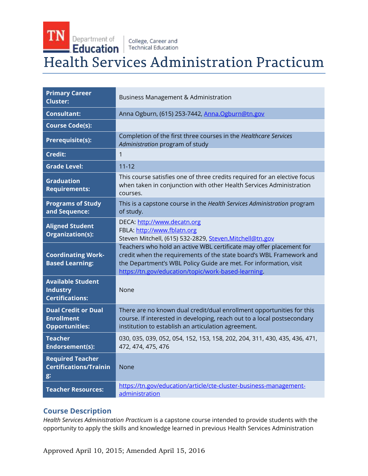# TN Department of College, Career and **Health Services Administration Practicum**

| <b>Primary Career</b><br><b>Cluster:</b>                                 | <b>Business Management &amp; Administration</b>                                                                                                                                                                                                                        |
|--------------------------------------------------------------------------|------------------------------------------------------------------------------------------------------------------------------------------------------------------------------------------------------------------------------------------------------------------------|
| <b>Consultant:</b>                                                       | Anna Ogburn, (615) 253-7442, Anna Ogburn@tn.gov                                                                                                                                                                                                                        |
| <b>Course Code(s):</b>                                                   |                                                                                                                                                                                                                                                                        |
| <b>Prerequisite(s):</b>                                                  | Completion of the first three courses in the Healthcare Services<br>Administration program of study                                                                                                                                                                    |
| <b>Credit:</b>                                                           | $\mathbf{1}$                                                                                                                                                                                                                                                           |
| <b>Grade Level:</b>                                                      | $11 - 12$                                                                                                                                                                                                                                                              |
| <b>Graduation</b><br><b>Requirements:</b>                                | This course satisfies one of three credits required for an elective focus<br>when taken in conjunction with other Health Services Administration<br>courses.                                                                                                           |
| <b>Programs of Study</b><br>and Sequence:                                | This is a capstone course in the Health Services Administration program<br>of study.                                                                                                                                                                                   |
| <b>Aligned Student</b><br>Organization(s):                               | DECA: http://www.decatn.org<br>FBLA: http://www.fblatn.org<br>Steven Mitchell, (615) 532-2829, Steven.Mitchell@tn.gov                                                                                                                                                  |
| <b>Coordinating Work-</b><br><b>Based Learning:</b>                      | Teachers who hold an active WBL certificate may offer placement for<br>credit when the requirements of the state board's WBL Framework and<br>the Department's WBL Policy Guide are met. For information, visit<br>https://tn.gov/education/topic/work-based-learning. |
| <b>Available Student</b><br><b>Industry</b><br><b>Certifications:</b>    | None                                                                                                                                                                                                                                                                   |
| <b>Dual Credit or Dual</b><br><b>Enrollment</b><br><b>Opportunities:</b> | There are no known dual credit/dual enrollment opportunities for this<br>course. If interested in developing, reach out to a local postsecondary<br>institution to establish an articulation agreement.                                                                |
| <b>Teacher</b><br>Endorsement(s):                                        | 030, 035, 039, 052, 054, 152, 153, 158, 202, 204, 311, 430, 435, 436, 471,<br>472, 474, 475, 476                                                                                                                                                                       |
| <b>Required Teacher</b><br><b>Certifications/Trainin</b><br>g:           | <b>None</b>                                                                                                                                                                                                                                                            |
| <b>Teacher Resources:</b>                                                | https://tn.gov/education/article/cte-cluster-business-management-<br>administration                                                                                                                                                                                    |

# **Course Description**

*Health Services Administration Practicum* is a capstone course intended to provide students with the opportunity to apply the skills and knowledge learned in previous Health Services Administration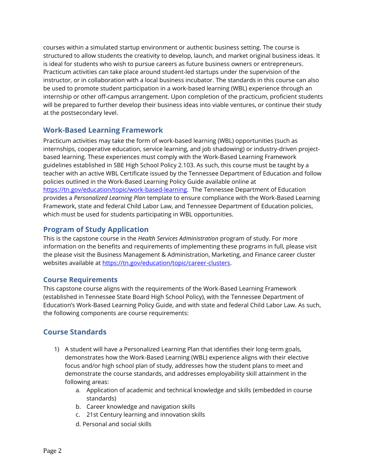courses within a simulated startup environment or authentic business setting. The course is structured to allow students the creativity to develop, launch, and market original business ideas. It is ideal for students who wish to pursue careers as future business owners or entrepreneurs. Practicum activities can take place around student-led startups under the supervision of the instructor, or in collaboration with a local business incubator. The standards in this course can also be used to promote student participation in a work-based learning (WBL) experience through an internship or other off-campus arrangement. Upon completion of the practicum, proficient students will be prepared to further develop their business ideas into viable ventures, or continue their study at the postsecondary level.

# **Work-Based Learning Framework**

Practicum activities may take the form of work-based learning (WBL) opportunities (such as internships, cooperative education, service learning, and job shadowing) or industry-driven projectbased learning. These experiences must comply with the Work-Based Learning Framework guidelines established in SBE High School Policy 2.103. As such, this course must be taught by a teacher with an active WBL Certificate issued by the Tennessee Department of Education and follow policies outlined in the Work-Based Learning Policy Guide available online at [https://tn.gov/education/topic/work-based-learning.](https://tn.gov/education/topic/work-based-learning) The Tennessee Department of Education provides a *Personalized Learning Plan* template to ensure compliance with the Work-Based Learning Framework, state and federal Child Labor Law, and Tennessee Department of Education policies, which must be used for students participating in WBL opportunities.

# **Program of Study Application**

This is the capstone course in the *Health Services Administration* program of study. For more information on the benefits and requirements of implementing these programs in full, please visit the please visit the Business Management & Administration, Marketing, and Finance career cluster websites available at [https://tn.gov/education/topic/career-clusters.](https://tn.gov/education/topic/career-clusters)

# **Course Requirements**

This capstone course aligns with the requirements of the Work-Based Learning Framework (established in Tennessee State Board High School Policy), with the Tennessee Department of Education's Work-Based Learning Policy Guide, and with state and federal Child Labor Law. As such, the following components are course requirements:

# **Course Standards**

- 1) A student will have a Personalized Learning Plan that identifies their long-term goals, demonstrates how the Work-Based Learning (WBL) experience aligns with their elective focus and/or high school plan of study, addresses how the student plans to meet and demonstrate the course standards, and addresses employability skill attainment in the following areas:
	- a. Application of academic and technical knowledge and skills (embedded in course standards)
	- b. Career knowledge and navigation skills
	- c. 21st Century learning and innovation skills
	- d. Personal and social skills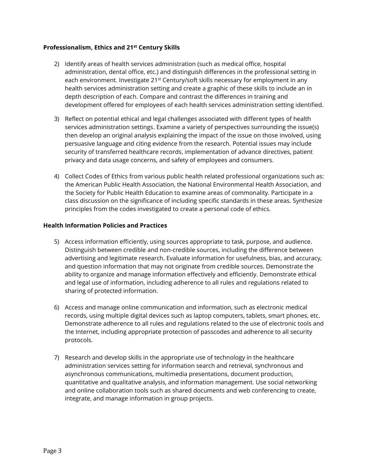#### **Professionalism, Ethics and 21st Century Skills**

- 2) Identify areas of health services administration (such as medical office, hospital administration, dental office, etc.) and distinguish differences in the professional setting in each environment. Investigate 21<sup>st</sup> Century/soft skills necessary for employment in any health services administration setting and create a graphic of these skills to include an in depth description of each. Compare and contrast the differences in training and development offered for employees of each health services administration setting identified.
- 3) Reflect on potential ethical and legal challenges associated with different types of health services administration settings. Examine a variety of perspectives surrounding the issue(s) then develop an original analysis explaining the impact of the issue on those involved, using persuasive language and citing evidence from the research. Potential issues may include security of transferred healthcare records, implementation of advance directives, patient privacy and data usage concerns, and safety of employees and consumers.
- 4) Collect Codes of Ethics from various public health related professional organizations such as: the American Public Health Association, the National Environmental Health Association, and the Society for Public Health Education to examine areas of commonality. Participate in a class discussion on the significance of including specific standards in these areas. Synthesize principles from the codes investigated to create a personal code of ethics.

#### **Health Information Policies and Practices**

- 5) Access information efficiently, using sources appropriate to task, purpose, and audience. Distinguish between credible and non-credible sources, including the difference between advertising and legitimate research. Evaluate information for usefulness, bias, and accuracy, and question information that may not originate from credible sources. Demonstrate the ability to organize and manage information effectively and efficiently. Demonstrate ethical and legal use of information, including adherence to all rules and regulations related to sharing of protected information.
- 6) Access and manage online communication and information, such as electronic medical records, using multiple digital devices such as laptop computers, tablets, smart phones, etc. Demonstrate adherence to all rules and regulations related to the use of electronic tools and the Internet, including appropriate protection of passcodes and adherence to all security protocols.
- 7) Research and develop skills in the appropriate use of technology in the healthcare administration services setting for information search and retrieval, synchronous and asynchronous communications, multimedia presentations, document production, quantitative and qualitative analysis, and information management. Use social networking and online collaboration tools such as shared documents and web conferencing to create, integrate, and manage information in group projects.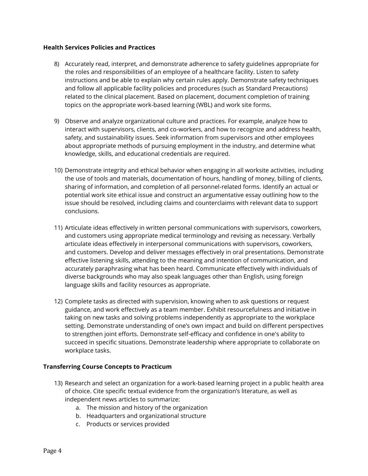#### **Health Services Policies and Practices**

- 8) Accurately read, interpret, and demonstrate adherence to safety guidelines appropriate for the roles and responsibilities of an employee of a healthcare facility. Listen to safety instructions and be able to explain why certain rules apply. Demonstrate safety techniques and follow all applicable facility policies and procedures (such as Standard Precautions) related to the clinical placement. Based on placement, document completion of training topics on the appropriate work-based learning (WBL) and work site forms.
- 9) Observe and analyze organizational culture and practices. For example, analyze how to interact with supervisors, clients, and co-workers, and how to recognize and address health, safety, and sustainability issues. Seek information from supervisors and other employees about appropriate methods of pursuing employment in the industry, and determine what knowledge, skills, and educational credentials are required.
- 10) Demonstrate integrity and ethical behavior when engaging in all worksite activities, including the use of tools and materials, documentation of hours, handling of money, billing of clients, sharing of information, and completion of all personnel-related forms. Identify an actual or potential work site ethical issue and construct an argumentative essay outlining how to the issue should be resolved, including claims and counterclaims with relevant data to support conclusions.
- 11) Articulate ideas effectively in written personal communications with supervisors, coworkers, and customers using appropriate medical terminology and revising as necessary. Verbally articulate ideas effectively in interpersonal communications with supervisors, coworkers, and customers. Develop and deliver messages effectively in oral presentations. Demonstrate effective listening skills, attending to the meaning and intention of communication, and accurately paraphrasing what has been heard. Communicate effectively with individuals of diverse backgrounds who may also speak languages other than English, using foreign language skills and facility resources as appropriate.
- 12) Complete tasks as directed with supervision, knowing when to ask questions or request guidance, and work effectively as a team member. Exhibit resourcefulness and initiative in taking on new tasks and solving problems independently as appropriate to the workplace setting. Demonstrate understanding of one's own impact and build on different perspectives to strengthen joint efforts. Demonstrate self-efficacy and confidence in one's ability to succeed in specific situations. Demonstrate leadership where appropriate to collaborate on workplace tasks.

#### **Transferring Course Concepts to Practicum**

- 13) Research and select an organization for a work-based learning project in a public health area of choice. Cite specific textual evidence from the organization's literature, as well as independent news articles to summarize:
	- a. The mission and history of the organization
	- b. Headquarters and organizational structure
	- c. Products or services provided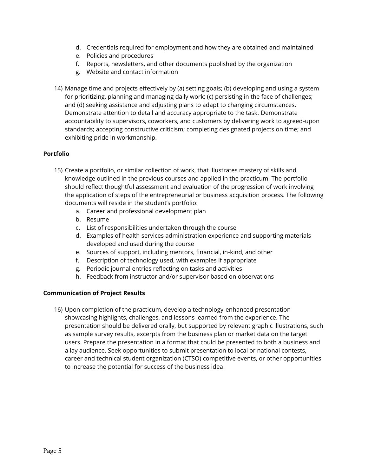- d. Credentials required for employment and how they are obtained and maintained
- e. Policies and procedures
- f. Reports, newsletters, and other documents published by the organization
- g. Website and contact information
- 14) Manage time and projects effectively by (a) setting goals; (b) developing and using a system for prioritizing, planning and managing daily work; (c) persisting in the face of challenges; and (d) seeking assistance and adjusting plans to adapt to changing circumstances. Demonstrate attention to detail and accuracy appropriate to the task. Demonstrate accountability to supervisors, coworkers, and customers by delivering work to agreed-upon standards; accepting constructive criticism; completing designated projects on time; and exhibiting pride in workmanship.

#### **Portfolio**

- 15) Create a portfolio, or similar collection of work, that illustrates mastery of skills and knowledge outlined in the previous courses and applied in the practicum. The portfolio should reflect thoughtful assessment and evaluation of the progression of work involving the application of steps of the entrepreneurial or business acquisition process. The following documents will reside in the student's portfolio:
	- a. Career and professional development plan
	- b. Resume
	- c. List of responsibilities undertaken through the course
	- d. Examples of health services administration experience and supporting materials developed and used during the course
	- e. Sources of support, including mentors, financial, in-kind, and other
	- f. Description of technology used, with examples if appropriate
	- g. Periodic journal entries reflecting on tasks and activities
	- h. Feedback from instructor and/or supervisor based on observations

#### **Communication of Project Results**

16) Upon completion of the practicum, develop a technology-enhanced presentation showcasing highlights, challenges, and lessons learned from the experience. The presentation should be delivered orally, but supported by relevant graphic illustrations, such as sample survey results, excerpts from the business plan or market data on the target users. Prepare the presentation in a format that could be presented to both a business and a lay audience. Seek opportunities to submit presentation to local or national contests, career and technical student organization (CTSO) competitive events, or other opportunities to increase the potential for success of the business idea.